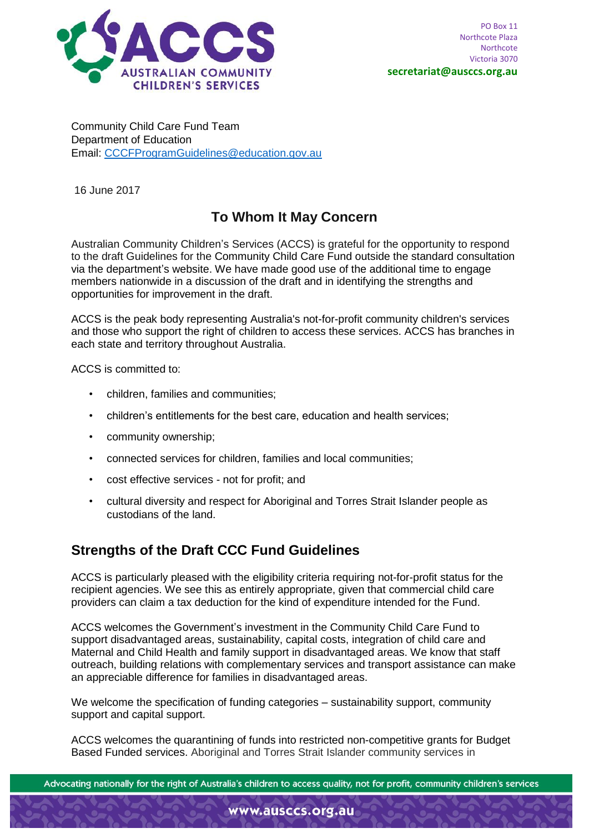

Community Child Care Fund Team Department of Education Email: [CCCFProgramGuidelines@education.gov.au](mailto:CCCFProgramGuidelines@education.gov.au)

16 June 2017

## **To Whom It May Concern**

Australian Community Children's Services (ACCS) is grateful for the opportunity to respond to the draft Guidelines for the Community Child Care Fund outside the standard consultation via the department's website. We have made good use of the additional time to engage members nationwide in a discussion of the draft and in identifying the strengths and opportunities for improvement in the draft.

ACCS is the peak body representing Australia's not-for-profit community children's services and those who support the right of children to access these services. ACCS has branches in each state and territory throughout Australia.

ACCS is committed to:

- children, families and communities;
- children's entitlements for the best care, education and health services;
- community ownership;
- connected services for children, families and local communities;
- cost effective services not for profit; and
- cultural diversity and respect for Aboriginal and Torres Strait Islander people as custodians of the land.

## **Strengths of the Draft CCC Fund Guidelines**

ACCS is particularly pleased with the eligibility criteria requiring not-for-profit status for the recipient agencies. We see this as entirely appropriate, given that commercial child care providers can claim a tax deduction for the kind of expenditure intended for the Fund.

ACCS welcomes the Government's investment in the Community Child Care Fund to support disadvantaged areas, sustainability, capital costs, integration of child care and Maternal and Child Health and family support in disadvantaged areas. We know that staff outreach, building relations with complementary services and transport assistance can make an appreciable difference for families in disadvantaged areas.

We welcome the specification of funding categories – sustainability support, community support and capital support.

ACCS welcomes the quarantining of funds into restricted non-competitive grants for Budget Based Funded services. Aboriginal and Torres Strait Islander community services in

Advocating nationally for the right of Australia's children to access quality, not for profit, community children's services

www.ausccs.org.au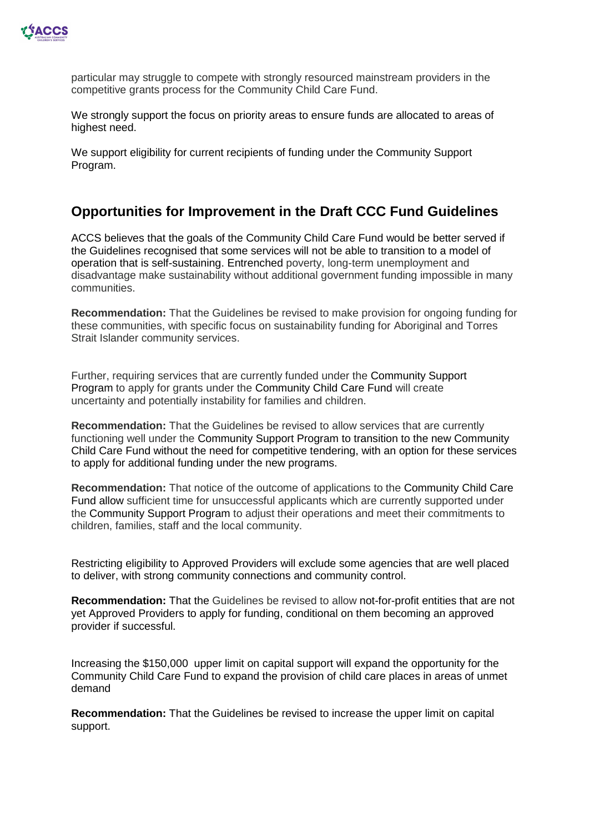

particular may struggle to compete with strongly resourced mainstream providers in the competitive grants process for the Community Child Care Fund.

We strongly support the focus on priority areas to ensure funds are allocated to areas of highest need.

We support eligibility for current recipients of funding under the Community Support Program.

## **Opportunities for Improvement in the Draft CCC Fund Guidelines**

ACCS believes that the goals of the Community Child Care Fund would be better served if the Guidelines recognised that some services will not be able to transition to a model of operation that is self-sustaining. Entrenched poverty, long-term unemployment and disadvantage make sustainability without additional government funding impossible in many communities.

**Recommendation:** That the Guidelines be revised to make provision for ongoing funding for these communities, with specific focus on sustainability funding for Aboriginal and Torres Strait Islander community services.

Further, requiring services that are currently funded under the Community Support Program to apply for grants under the Community Child Care Fund will create uncertainty and potentially instability for families and children.

**Recommendation:** That the Guidelines be revised to allow services that are currently functioning well under the Community Support Program to transition to the new Community Child Care Fund without the need for competitive tendering, with an option for these services to apply for additional funding under the new programs.

**Recommendation:** That notice of the outcome of applications to the Community Child Care Fund allow sufficient time for unsuccessful applicants which are currently supported under the Community Support Program to adjust their operations and meet their commitments to children, families, staff and the local community.

Restricting eligibility to Approved Providers will exclude some agencies that are well placed to deliver, with strong community connections and community control.

**Recommendation:** That the Guidelines be revised to allow not-for-profit entities that are not yet Approved Providers to apply for funding, conditional on them becoming an approved provider if successful.

Increasing the \$150,000 upper limit on capital support will expand the opportunity for the Community Child Care Fund to expand the provision of child care places in areas of unmet demand

**Recommendation:** That the Guidelines be revised to increase the upper limit on capital support.